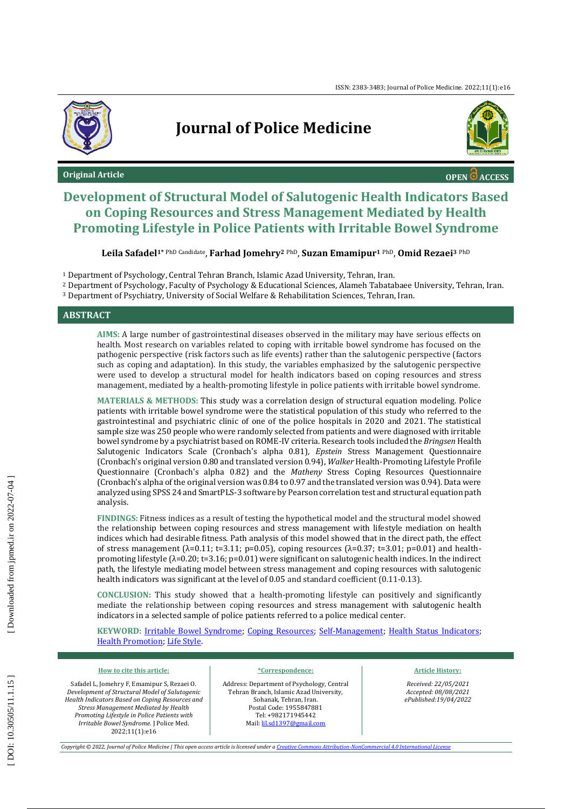

## **Journal of Police Medicine**



**Original Article OPEN ACCESS OPEN ACCESS** 

## **Development of Structural Model of Salutogenic Health Indicators Based on Coping Resources and Stress Management Mediated by Health Promoting Lifestyle in Police Patients with Irritable Bowel Syndrome**

 ${\bf L}$ eila Safadel $^{\bf 1^*}$ PhD <sup>Candidate</sup>, <code>Farhad Jomehry</code>2 <code>PhD, Suzan Emamipur</code>1 <code>PhD, Omid Rezaei</code>3 <code>PhD</code>

<sup>1</sup> Department of Psychology, Central Tehran Branch, Islamic Azad University, Tehran, Iran.

<sup>2</sup> Department of Psychology, Faculty of Psychology & Educational Sciences, Alameh Tabatabaee University, Tehran, Iran. <sup>3</sup> Department of Psychiatry, University of Social Welfare & Rehabilitation Sciences, Tehran, Iran.

#### **ABSTRACT**

**AIMS:** A large number of gastrointestinal diseases observed in the military may have serious effects on health. Most research on variables related to coping with irritable bowel syndrome has focused on the pathogenic perspective (risk factors such as life events) rather than the salutogenic perspective (factors such as coping and adaptation). In this study, the variables emphasized by the salutogenic perspective were used to develop a structural model for health indicators based on coping resources and stress management, mediated by a health -promoting lifestyle in police patients with irritable bowel syndrome.

**MATERIALS & METHODS:** This study was a correlation design of structural equation modeling. Police patients with irritable bowel syndrome were the statistical population of this study who referred to the gastrointestinal and psychiatric clinic of one of the police hospitals in 2020 and 2021. The statistical sample size was 250 people who were randomly selected from patients and were diagnosed with irritable bowel syndrome by a psychiatrist based on ROME -IV criteria. Research tools included the *Bringsen* Health Salutogenic Indicators Scale (Cronbach's alpha 0.81), *Epstein* Stress Management Questionnaire (Cronbach's original version 0.80 and translated version 0.94), *Walker* Health -Promoting Lifestyle Profile Questionnaire (Cronbach's alpha 0.82) and the *Matheny* Stress Coping Resources Questionnaire (Cronbach's alpha of the original version was 0.84 to 0.97 and the translated version was 0.94). Data were analyzed using SPSS 24 and SmartPLS -3 software by Pearson correlation test and structural equation path analysis.

**FINDINGS:** Fitness indices as a result of testing the hypothetical model and the structural model showed the relationship between coping resources and stress management with lifestyle mediation on health indices which had desirable fitness. Path analysis of this model showed that in the direct path, the effect of stress management ( $λ=0.11$ ; t=3.11; p=0.05), coping resources ( $λ=0.37$ ; t=3.01; p=0.01) and healthpromoting lifestyle (λ=0.20; t=3.16; p=0.01) were significant on salutogenic health indices. In the indirect path, the lifestyle mediating model between stress management and coping resources with salutogenic health indicators was significant at the level of 0.05 and standard coefficient (0.11-0.13).

**CONCLUSION:** This study showed that a health -promoting lifestyle can positively and significantly mediate the relationship between coping resources and stress management with salutogenic health indicators in a selected sample of police patients referred to a police medical center.

**KEYWORD:** [Irritable Bowel Syndrome;](https://www.ncbi.nlm.nih.gov/mesh/68043183) [Coping Resources;](https://www.ncbi.nlm.nih.gov/mesh/68000223) [Self-Management;](https://www.ncbi.nlm.nih.gov/mesh/2023102) [Health Status Indicators;](https://www.ncbi.nlm.nih.gov/mesh/68006305) [Health Promotion](https://www.ncbi.nlm.nih.gov/mesh/68006293); [Life Style.](https://www.ncbi.nlm.nih.gov/mesh/68008019)

#### **How to cite this article :**

Safadel L, Jomehry F, Emamipur S, Rezaei O*. Development of Structural Model of Salutogenic Health Indicators Based on Coping Resources and Stress Management Mediated by Health Promoting Lifestyle in Police Patients with Irritable Bowel Syndrome.* J Police Med. 2022;11(1):e16

#### **\*Correspondence:**

Address: Department of Psychology, Central Tehran Branch, Islamic Azad University, Sohanak, Tehran, Iran. Postal Code: 1955847881 Tel: +982171945442 Mail: [lil.sd1397@gmail.com](mailto:lil.sd1397@gmail.com)

#### **Article History :**

*Received: 22/05/2021 Accepted: 08/08/2021 ePublished:19/0 4/2022*

*Copyright © 2022, Journal of Police Medicine | This open access article is licensed under a Creative Commons Attribution [-NonCommercial 4.0 International License](http://creativecommons.org/licenses/by-nc/4.0/)*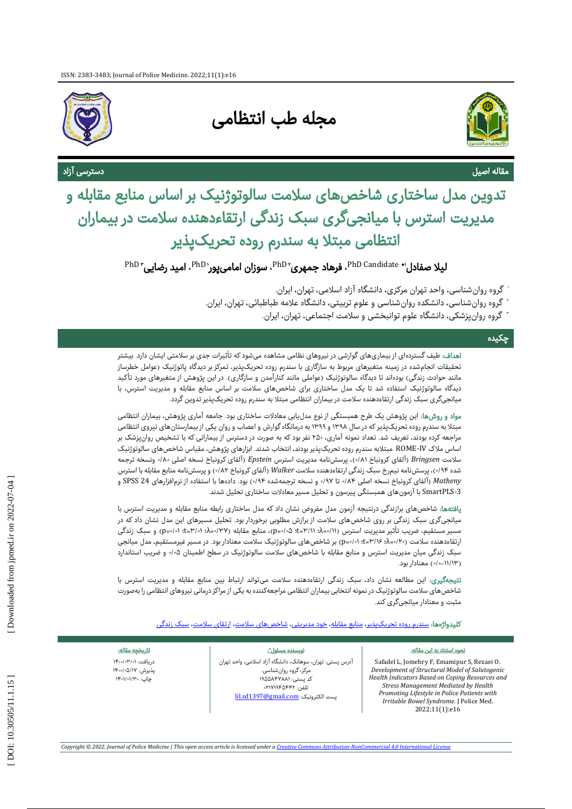

# مجله طب انتظامی



# <sup>مقاله اص</sup>ا<br><mark>تدوین مدل ساختاری شاخصهای سلامت سالوتوژنیک بر اساس منابع مقابله و</mark><br>مدیریت استرس با میانجیگری سبک زندگی ارتقاءدهنده سلامت در بیماران<br>انتظامی مبتلا به سندرم روده تحریکپذیر

 ${}^{\rm PhD}$ Candidate  ${}^{\bullet}$ ، فرهاد جمهری ${}^{\rm PhD}$ ، سوزان امامیپور ${}^{\rm PhD}$ ، امید رضایی ${}^{\rm PhD}$ 

- 1 گروه روانشناسی، واحد تهران مرکزی، دانشگاه آزاد اسالمی، تهران، ایران.
- 2 گروه روانشناسی، دانشکده روانشناسی و علوم تربیتی، دانشگاه عالمه طباطبائی، تهران، ایران.
	- 3 گروه روانپزشکی، دانشگاه علوم توانبخشی و سالمت اجتماعی، تهران، ایران.

#### چکیده

اهداف: طیف گستردهای از بیماریهای گوارشی در نیروهای نظامی مشاهده میشود که تأثیرات جدی بر سلامتی ایشان دارد. بیشتر نحقیقات انجامشده در زمینه متغیرهای مربوط به سازگاری با سندرم روده تحریکپذیر، تمرکز بر دیدگاه پاتوژنیک (عوامل خطرساز مانند حوادث زندگی) بودهاند تا دیدگاه سالوتوژنیک (عواملی مانند کنارآمدن و سازگاری). در این پژوهش از متغیرهای مورد تأکید دیدگاه سالوتوژنیک استفاده شد تا یک مدل ساختاری برای شاخصهای سلامت بر اساس منابع مقابله و مدیریت استرس، با<br>میانجیگری سبک زندگی ارتقاءدهنده سلامت در بیماران انتظامی مبتلا به سندرم روده تحریکپذیر تدوین گردد.

مواد و روشها: این پژوهش یک طرح همبستگی از نوع مدلیابی معادالت ساختاری بود. جامعه آماری پژوهش، بیماران انتظامی مبتال به سندرم روده تحریکپذیر که در سال 1398 و 1399 به درمانگاه گوارش و اعصاب و روان یکی از بیمارستانهای نیروی انتظامی مراجعه کرده بودند، تعریف شد. تعداد نمونه آماری، 250 نفر بود که به صورت در دسترس از بیمارانی که با تشخیص روانپزشک بر اساس ملاک ROME-IV مبتلابه سندرم روده تحریکپذیر بودند، انتخاب شدند. ابزارهای پژوهش، مقیاس شاخصهای سالوتوژنیک سلامت Bringsen (آلفای کرونباخ ۰/۱۸)، پرسشiماه مدیریت استرس Epstein (آلفای کرونباخ نسخه اصلی ۸۰/۰» ونسخه ترجمه شده ۰/۹۴)، پرسشنامه نیمرخ سبک زندگی ارتقاءدهنده سلامت Walker (آلفای کرونباخ ۰/۸۲) و پرسشنامه منابع مقابله با استرس ۰ تا ۱۹۷، و نسخه ترجمهشده ۹۴/۰) بود. دادهها با استفاده از نرمافزارهای SPSS 24 و -3SmartPLS با آزمونهای همبستگی پیرسون و تحلیل مسیر معادالت ساختاری تحلیل شدند. *Matheny*( آلفای کرونباخ نسخه اصلی /84

یافتهها: شاخصهای برازندگی درنتیجه آزمون مدل مفروض نشان داد که مدل ساختاری رابطه منابع مقابله و مدیریت استرس با میانجیگری سبک زندگی بر روی شاخصهای سالمت از برازش مطلوبی برخوردار بود. تحلیل مسیرهای این مدل نشان داد که در مسیر مستقیم، ضریب تأثیر مدیریت استرس (۱۱/۰-۵): ۳۱/۱+a): ۰۵|۰۵|۵)، منابع مقابله (۲۷/۰-۵): ۲۰|۰۰|۰۵|۵) و سبک زندگی ارتقاءدهنده سلامت (۲۰/۰ه=۲۰ : ۱۶۰/۱۶) + (D=۰/۰) بر شاخصهای سالوتوژنیک سلامت معنادار بود. در مسیر غیرمستقیم، مدل میانجی سبک زندگی میان مدیریت استرس و منابع مقابله با شاخصهای سلامت سالوتوژنیک در سطح اطمینان ۰/۰۵ و ضریب استاندارد (۱۱۳–۱۰) معنادار بود.

: این مطالعه نشان داد، سبک زندگی ارتقاءدهنده سالمت میتواند ارتباط بین منابع مقابله و مدیریت استرس با ی نتیجهگیر شاخصهای سالمت سالوتوژنیک در نمونه انتخابی بیماران انتظامی مراجعهکننده به یکی از مراکز درمانی نیروهای انتظامی را بهصورت مثبت و معنادار میانجیگری کند.

کلیدواژهها: <u>سندرم روده تحریکپذیر، [منابع مقابله،](https://www.ncbi.nlm.nih.gov/mesh/68000223) خود مدیریت</u>ی، <u>شاخص های سلامت، ارتقای سلامت، [سبک زندگی](https://www.ncbi.nlm.nih.gov/mesh/68008019)</u><br>موه استناد به این مقاله:<br>موه استناد به این مقاله:

#### نحوه استناد به این مقاله:

Safadel L, Jomehry F, Emamipur S, Rezaei O*. Development of Structural Model of Salutogenic Health Indicators Based on Coping Resources and Stress Management Mediated by Health Promoting Lifestyle in Police Patients with Irritable Bowel Syndrome.* J Police Med. 2022 ;11 ( 1):e16

#### نویسنده مسئول\*:

آدرس پستی: تهران، سوهانک، دانشگاه آزاد اسلامی، واحد تهران ، . مرکز،گروه روانشناسی کد پستی: ۱۹۵۵۸۴۷۸۸۱ .<br>تلفن: ٢١٧١٩٤٢٩٩ لست الکترونیک: lil.sd<u>1397@gmail.com</u>

دریافت: ۰۱/۳۰۰|۰۰۰ پذیرش: ۵/۱۷،/۰۵−۱۴ چاپ: ۱۳۰،۱/۰۱۵۰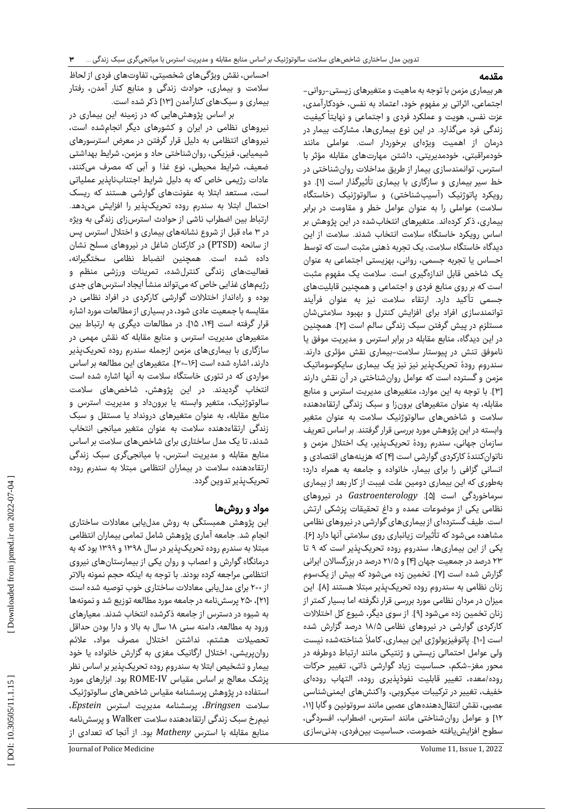### مقدمه

هر بیماری مزمن با توجه به ماهیت و متغیرهای زیستی-روانی-اجتماعی، اثراتی بر مفهوم خود، اعتماد به نفس، خودکارآمدی،<br>عزت نفس، هویت و عملکرد فردی و اجتماعی و نهایتاً کیفیت زندگی فرد میگذارد. در این نوع بیماریها، مشارکت بیمار در درمان از اهمیت ویژهای برخوردار است. عواملی مانند خودمراقبتی، خودمدیریتی، داشتن مهارتهای مقابله مؤثر با استرس، توانمندسازی بیمار از طریق مداخالت روانشناختی در خط سیر بیماری و سازگاری با بیماری تأثیرگذار است [۱]. دو رویکرد پاتوژنیک (آسیبشناختی) و سالوتوژنیک (خاستگاه سلامت) عواملی را به عنوان عوامل خطر و مقاومت در برابر بیماری، ذکر کردهاند. متغیرهای انتخابشده در این پژوهش بر اساس رویکرد خاستگاه سالمت انتخاب شدند. سالمت از این دیدگاه خاستگاه سالمت، یک تجربه ذهنی مثبت است که توسط احساس یا تجربه جسمی، روانی، بهزیستی اجتماعی به عنوان یک شاخص قابل اندازهگیری است. سالمت یک مفهوم مثبت است که بر روی منابع فردی و اجتماعی و همچنین قابلیتهای جسمی تأکید دارد. ارتقاء سالمت نیز به عنوان فرآیند توانمندسازی افراد برای افزایش کنترل و بهبود سالمتیشان مستلزم در پیش گرفتن سبک زندگی سالم است [۲]. همچنین در این دیدگاه، منابع مقابله در برابر استرس و مدیریت موفق یا ناموفق تنش در پیوستار سلامت-بیماری نقش مؤثری دارند. سندروم رودهٔ تحریکپذیر نیز نیز یک بیماری سایکوسوماتیک مزمن و گسترده است که عوامل روانشناختی در آن نقش دارند ۴]. با توجه به این موارد، متغیرهای مدیریت استرس و منابع [ مقابله، به عنوان متغیرهای برونزا و سبک زندگی ارتقاءدهنده سالمت و شاخصهای سالوتوژنیک سالمت به عنوان متغیر وابسته در این پژوهش مورد بررسی قرار گرفتند. بر اساس تعریف سازمان جهانی، سندرم رودهٔ تحریکپذیر، یک اختالل مزمن و ناتوانکنندهٔ کارکردی گوارشی است [۴] که هزینههای اقتصادی و انسانی گزافی را برای بیمار، خانواده و جامعه به همراه دارد؛ بهطوری که این بیماری دومین علت غیبت از کار بعد از بیماری [. *Gastroenterology* در نیروهای سرماخوردگی است ]5 نظامی یکی از موضوعات عمده و داغ تحقیقات پزشکی ارتش است. طیف گستردهای از بیماریهای گوارشی در نیروهای نظامی . ] 6 مشاهده میشود که تأثیرات زیانباری روی سالمتی آنها دارد ] یکی از این بیماریها، سندروم روده تحریکپذیر است که ۹ تا ۲۳ درصد در جمعیت جهان [۴] و ۲۱/۵ درصد در بزرگسالان ایرانی گزارش شده است [۷]. تخمین زده میشود که بیش از یکسوم زنان نظامی به سندروم روده تحریکپذیر مبتلا هستند [۸]. این میزان در مردان نظامی مورد بررسی قرار نگرفته اما بسیار کمتر از زنان تخمین زده میشود [۹]. از سوی دیگر، شیوع کل اختلالات کارکردی گوارشی در نیروهای نظامی ۱۸/۵ درصد گزارش شده است [۱۰]. پاتوفیزیولوژی این بیماری، کاملاً شناختهشده نیست ولی عوامل احتمالی زیستی و ژنتیکی مانند ارتباط دوطرفه در شکم، حساسیت زیاد گوارشی ذاتی، تغییر حرکات محور مغز- روده/معده، تغییر قابلیت نفوذپذیری روده، التهاب رودهای خفیف، تغییر در ترکیبات میکروبی، واکنشهای ایمنیشناسی عصبی، نقش انتقالدهندههای عصبی مانند سروتونین و گابا ]،11 12[ و عوامل روانشناختی مانند استرس، اضطراب، افسردگی، سطوح افزایشیافته خصومت، حساسیت بینفردی، بدنیسازی

احساس، نقش ویژگیهای شخصیتی، تفاوتهای فردی از لحاظ سالمت و بیماری، حوادث زندگی و منابع کنار آمدن، رفتار بیماری و سبکهای کنارآمدن ]13[ ذکر شده است.

بر اساس پژوهشهایی که در زمینه این بیماری در نیروهای نظامی در ایران و کشورهای دیگر انجامشده است، نیروهای انتظامی به دلیل قرار گرفتن در معرض استرسورهای شیمیایی، فیزیکی، روانشناختی حاد و مزمن، شرایط بهداشتی ضعیف، شرایط محیطی، نوع غذا و آبی که مصرف میکنند، عادات رژیمی خاص که به دلیل شرایط اجتنابناپذیر عملیاتی است، مستعد ابتال به عفونتهای گوارشی هستند که ریسک احتمال ابتال به سندرم روده تحریکپذیر را افزایش میدهد. ارتباط بین اضطراب ناشی از حوادث استرسزای زندگی به ویژه در ۳ ماه قبل از شروع نشانههای بیماری و اختلال استرس پس از سانحه (PTSD) در کارکنان شاغل در نیروهای مسلح نشان داده شده است. همچنین انضباط نظامی سختگیرانه، فعالیتهای زندگی کنترلشده، تمرینات ورزشی منظم و رژیمهای غذایی خاص که میتواند منشأ ایجاد استرسهای جدی بوده و راهانداز اختالالت گوارشی کارکردی در افراد نظامی در مقایسه با جمعیت عادی شود، در بسیاری از مطالعات مورد اشاره قرار گرفته است ]،14 15[. در مطالعات دیگری به ارتباط بین متغیرهای مدیریت استرس و منابع مقابله که نقش مهمی در سازگاری با بیماریهای مزمن ازجمله سندرم روده تحریکپذیر دارند، اشاره شده است [۱۶–۲۰]. متغیرهای این مطالعه بر اساس مواردی که در تئوری خاستگاه سالمت به آنها اشاره شده است انتخاب گردیدند. در این پژوهش، شاخصهای سالمت سالوتوژنیک، متغیر وابسته یا برونداد و مدیریت استرس و منابع مقابله، به عنوان متغیرهای درونداد یا مستقل و سبک زندگی ارتقاءدهنده سالمت به عنوان متغیر میانجی انتخاب شدند، تا یک مدل ساختاری برای شاخصهای سلامت بر اساس منابع مقابله و مدیریت استرس، با میانجیگری سبک زندگی ارتقاءدهنده سالمت در بیماران انتظامی مبتال به سندرم روده تحریکپذیر تدوین گردد.<br>**مواد و روشها** 

این پژوهش همبستگی به روش مدلیابی معادالت ساختاری انجام شد. جامعه آماری پژوهش شامل تمامی بیماران انتظامی مبتال به سندرم روده تحریکپذیر در سال 1398 و 1399 بود که به درمانگاه گوارش و اعصاب و روان یکی از بیمارستانهای نیروی انتظامی مراجعه کرده بودند. با توجه به اینکه حجم نمونه باالتر از 200 برای مدلیابی معادالت ساختاری خوب توصیه شده است 21[، 250پرسشنامهدر جامعه مورد مطالعه توزیع شد و نمونهها [ به شیوه در دسترس از جامعه ذکرشده انتخاب شدند. معیارهای ورود به مطالعه، دامنه سنی 18 سال به باال و دارا بودن حداقل تحصیالت هشتم، نداشتن اختالل مصرف مواد، عالئم روانپریشی، اختالل ارگانیک مغزی به گزارش خانواده یا خود بیمار و تشخیص ابتال به سندروم روده تحریکپذیر بر اساس نظر ROME بود. ابزارهای مورد پزشک معالج بر اساس مقیاس IV- استفاده در پژوهش پرسشنامه مقیاس شاخصهای سالوتوژنیک<br>سلامت Bringsen، پرسشنامه مدیریت استرس Epstein، نیمرخ سبک زندگی ارتقاءدهنده سالمت Walker و پرسشنامه منابع مقابله با استرس *Matheny* بود. از آنجا که تعدادی از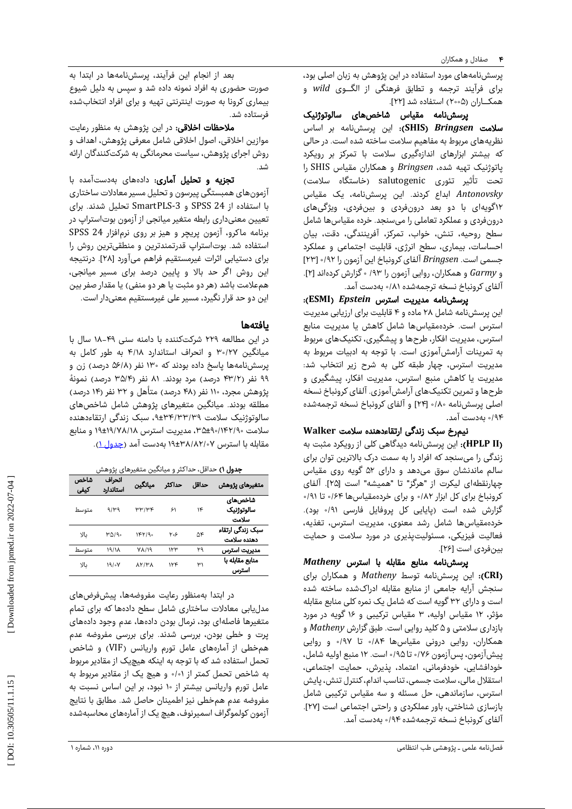پرسشنامههای مورد استفاده در این پژوهش به زبان اصلی بود، برای فرآیند ترجمه و تطابق فرهنگی از الگــوی *wild* و همکـاران (۲۰۰۵) استفاده شد [۲۲].

پرسشنامه مقیاس شاخصهای سالوتوژنیک **SHIS**): این پرسشنامه بر اساس سالمت *Bringsen*( نظریههای مربوط به مفاهیم سالمت ساخته شده است. در حالی که بیشتر ابزارهای اندازهگیری سالمت با تمرکز بر رویکرد پاتوژنیک تهیه شده، *Bringsen* و همکاران مقیاس SHIS را تحت تأثیر تئوری salutogenic( خاستگاه سالمت( *Antonovsky* ابداع کردند. این پرسشنامه، یک مقیاس 12گویهای با دو بعد درونفردی و بینفردی، ویژگیهای درونفردی و عملکرد تعاملی را میسنجد. خرده مقیاسها شامل سطح روحیه، تنش، خواب، تمرکز، آفرینندگی، دقت، بیان احساسات، بیماری، سطح انرژی، قابلیت اجتماعی و عملکرد ]23 0 جسمی است. *Bringsen* آلفای کرونباخ این آزمون را /92 [ .] گزارش کردهاند ]2 0 و *Garmy* و همکاران، روایی آزمون را /93 آلفای کرونباخ نسخه ترجمهشده ۸۱/۰ بهدست آمد.

 :)**ESMI** پرسشنامه مدیریت استرس *Epstein*( این پرسشنامه شامل ۲۸ ماده و ۴ قابلیت برای ارزیابی مدیریت استرس است. خردهمقیاسها شامل کاهش یا مدیریت منابع استرس، مدیریت افکار، طرحها و پیشگیری، تکنیکهای مربوط به تمرینات آرامشآموزی است. با توجه به ادبیات مربوط به مدیریت استرس، چهار طبقه کلی به شرح زیر انتخاب شد: مدیریت یا کاهش منبع استرس، مدیریت افکار، پیشگیری و طرحها و تمرین تکنیکهای آرامشآموزی. آلفای کرونباخ نسخه اصلی پرسشنامه ۱۸۰۰ <sub>ا</sub>۲۴ و آلفای کرونباخ نسخه ترجمهشده<br>۱۹۴۰ بهدست آمد.<br>**نیمرخ سبک زندگی ارتقاءدهنده سلامت Walker** 

**II HPLP**): این پرسشنامه دیدگاهی کلی از رویکرد مثبت به ( زندگی را میسنجد که افراد را به سمت درک باالترین توان برای سالم ماندنشان سوق میدهد و دارای 52 گویه روی مقیاس چهارنقطهای لیکرت از "هرگز" تا "همیشه" است [۲۵]. آلفای<br>کرونباخ برای کل ابزار ۱۸۲ و برای خردهمقیاسها ۱۶۴ تا ۹۱ گزارش شده است (پایایی کل پروفایل فارسی ۶۱/۰ بود). خردهمقیاسها شامل رشد معنوی، مدیریت استرس، تغذیه، فعالیت فیزیکی، مسئولیتپذیری در مورد سالمت و حمایت

بینفردی است [۲۶].<br>**پرسشنامه منابع مقابله با استرس** *Matheny* **CRI**): این پرسشنامه توسط *Matheny* و همکاران برای ( سنجش آرایه جامعی از منابع مقابله ادراکشده ساخته شده است و دارای 32 گویه است که شامل یک نمره کلی منابع مقابله مؤثر، ۱۲ مقیاس اولیه، ۳ مقیاس ترکیبی و ۱۶ گویه در مورد کلید روایی است. طبق گزارش *Matheny* و بازداری سالمتی و 5 همکاران، روایی درونی مقیاسها ۸۴/۰ تا ۹۷/۰ و روایی پیشآزمون، پسآزمون ۷۶/۰ تا ۱۹۵۵ است. ۱۲ منبع اولیه شامل، خودافشایی، خودفرمانی، اعتماد، پذیرش، حمایت اجتماعی، استقالل مالی، سالمت جسمی، تناسب اندام، کنترل تنش، پایش استرس، سازماندهی، حل مسئله و سه مقیاس ترکیبی شامل بازسازی شناختی، باور عملکردی و راحتی اجتماعی است ]27[. آلفای کرونباخ نسخه ترجمهشده ۹۴/۰ بهدست آمد.

بعد از انجام این فرآیند، پرسشنامهها در ابتدا به صورت حضوری به افراد نمونه داده شد و سپس به دلیل شیوع بیماری کرونا به صورت اینترنتی تهیه و برای افراد انتخابشده فرستاده شد.

**ملاحظات اخلاقی:** در این پژوهش به منظور رعایت موازین اخالقی، اصول اخالقی شامل معرفی پژوهش، اهداف و روش اجرای پژوهش، سیاست محرمانگی به شرکتکنندگان ارائه شد.

تجزیه و تحلیل آماری: دادههای بهدستآمده با آزمونهای همبستگی پیرسون و تحلیل مسیر معادالت ساختاری SmartPLS تحلیل شدند. برای - با استفاده از 24 SPSS و 3 تعیین معنیداری رابطه متغیر میانجی از آزمون بوتاستراپ در برنامه ماکرو، آزمون پریچر و هیز بر روی نرمافزار 24 SPSS استفاده شد. بوتاستراپ قدرتمندترین و منطقیترین روش را برای دستیابی اثرات غیرمستقیم فراهم میآورد ]28[. درنتیجه این روش اگر حد باال و پایین درصد برای مسیر میانجی، همعلامت باشد (هر دو مثبت یا هر دو منفی) یا مقدار صفر بین این دو حد قرار نگیرد، مسیر علی غیرمستقیم معنیدار است.<br>**یافتهها** 

در این مطالعه ۲۲۹ شرکتکننده با دامنه سنی ۴۹–۱۸ سال با میانگین ۳۰/۲۷ و انحراف استاندارد ۴/۱۸ به طور کامل به پرسشنامهها پاسخ داده بودند که ۱۳۰ نفر (۵۶/۸ درصد) زن و ۹۹ نفر (۴۳/۲ درصد) مرد بودند. ۸۱ نفر (۳۵/۴ درصد) نمونهٔ پژوهش مجرد، ۱۱۰ نفر (۴۸ درصد) متأهل و ۳۲ نفر (۱۴ درصد) مطلقه بودند. میانگین متغیرهای پژوهش شامل شاخصهای سالوتوژنیک سلامت ۹±۳۴/۳۳/۳۹، سبک زندگی ارتقاءدهنده سلامت ۰/۱۴۲/۹۰-۳۵±۵، مدیریت استرس ۱۹±۱۹/۷۸/۱۸ و منابع مقابله با استرس ۰۷-۸۲/۸۲/۰۷ بهدست آمد (<u>جدول ۱</u>).

| <b>جدول ۱)</b> حداقل، حداکثر و میانگین متغیرهای پژوهش |                     |                    |        |       |                                 |  |  |  |  |
|-------------------------------------------------------|---------------------|--------------------|--------|-------|---------------------------------|--|--|--|--|
| شاخص<br>كيفى                                          | انحراف<br>استاندارد | ميانگين            | حداكثر | حداقل | متغيرهاى يژوهش                  |  |  |  |  |
| متوسط                                                 | 9149                | $\mu\mu/\mu\kappa$ | ۶۱     | ۱۴    | شاخصهای<br>سالوتوژنیک<br>سلامت  |  |  |  |  |
| ىالا                                                  | ۳۵۱۹۰               | 1FY/9.             | ۶۰۶    | ۵۴    | سبک زندگی ارتقاء<br>دهنده سلامت |  |  |  |  |
| متوسط                                                 | ۱۹/۱۸               | $Y\Lambda/19$      | ۱۲۳    | ۲۹    | مديريت استرس                    |  |  |  |  |
| ىالا                                                  | 1910V               | <b>AY/YA</b>       | ۱۲۴    | ۳۱    | منابع مقابله با<br>استرس        |  |  |  |  |

در ابتدا بهمنظور رعایت مفروضهها، پیشفرضهای مدلیابی معادالت ساختاری شامل سطح دادهها که برای تمام متغیرها فاصلهای بود، نرمال بودن دادهها، عدم وجود دادههای پرت و خطی بودن، بررسی شدند. برای بررسی مفروضه عدم همخطی از آمارههای عامل تورم واریانس )VIF )و شاخص تحمل استفاده شد که با توجه به اینکه هیچیک از مقادیر مربوط به شاخص تحمل کمتر از ۱% و هیچ یک از مقادیر مربوط به عامل تورم واریانس بیشتر از 10 نبود، بر این اساس نسبت به مفروضه عدم همخطی نیز اطمینان حاصل شد. مطابق با نتایج آزمون کولموگراف اسمیرنوف، هیچ یک از آمارههای محاسبهشده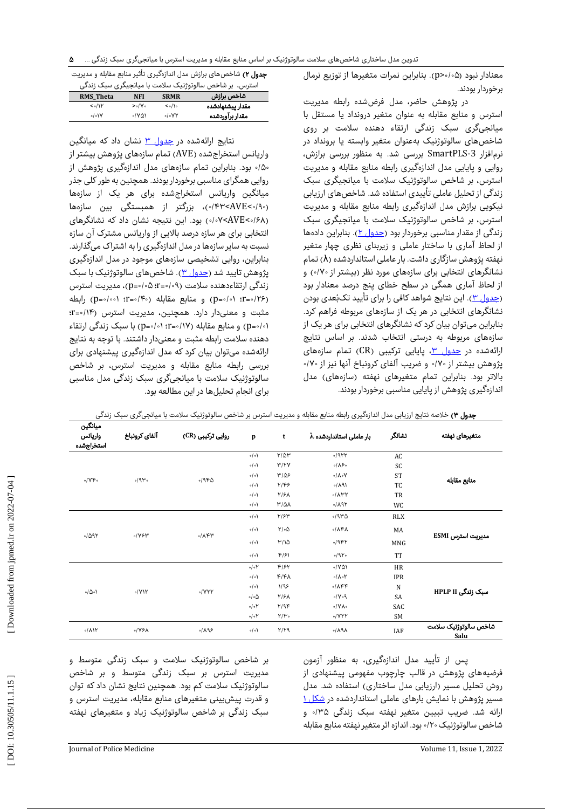معنادار نبود (۵-/0×p). بنابراین نمرات متغیرها از توزیع نرمال برخوردار بودند.

در پژوهش حاضر، مدل فرضشده رابطه مدیریت استرس و منابع مقابله به عنوان متغیر درونداد یا مستقل با میانجیگری سبک زندگی ارتقاء دهنده سالمت بر روی شاخصهای سالوتوژنیک بهعنوان متغیر وابسته یا برونداد در SmartPLS بررسی شد. به منظور بررسی برازش، - افزار 3 نرم روایی و پایایی مدل اندازهگیری رابطه منابع مقابله و مدیریت استرس، بر شاخص سالوتوژنیک سلامت با میانجیگری سبک زندگی از تحلیل عاملی تأییدی استفاده شد. شاخصهای ارزیابی نیکویی برازش مدل اندازهگیری رابطه منابع مقابله و مدیریت استرس، بر شاخص سالوتوژنیک سلامت با میانجیگری سبک زندگی از مقدار مناسبی برخوردار بود <u>(جدول ۲</u>). بنابراین دادهها از لحاظ آماری با ساختار عاملی و زیربنای نظری چهار متغیر نهفته پژوهش سازگاری داشت. بار عاملی استانداردشده (λ) تمام نشانگرهای انتخابی برای سازههای مورد نظر (بیشتر از ۷۰/۰) و از لحاظ آماری همگی در سطح خطای پنج درصد معنادار بود<br><u>(جدول ۳)</u>. این نتایج شواهد کافی را برای تأیید تکبُعدی بودن نشانگرهای انتخابی در هر یک از سازههای مربوطه فراهم کرد. بنابراین میتوان بیان کرد که نشانگرهای انتخابی برای هر یک از سازههای مربوطه به درستی انتخاب شدند. بر اساس نتایج ارائهشده در <u>جدول ۳</u>، پایایی ترکیبی (CR) تمام سازههای پژوهش بیشتر از ۷۰/۰ و ضریب آلفای کرونباخ آنها نیز از ۷۰/۰ بالاتر بود. بنابراین تمام متغیرهای نهفته (سازههای) مدل اندازهگیری پژوهش از پایایی مناسبی برخوردار بودند.

| <b>جدول ۲)</b> شاخصهای برازش مدل اندازهگیری تأثیر منابع مقابله و مدیریت                                                                                                                                                                                                                                                         |  |  |  |  |  |
|---------------------------------------------------------------------------------------------------------------------------------------------------------------------------------------------------------------------------------------------------------------------------------------------------------------------------------|--|--|--|--|--|
| $\mathcal{L}$ , $\mathcal{L}$ , $\mathcal{L}$ , $\mathcal{L}$ , $\mathcal{L}$ , $\mathcal{L}$ , $\mathcal{L}$ , $\mathcal{L}$ , $\mathcal{L}$ , $\mathcal{L}$ , $\mathcal{L}$ , $\mathcal{L}$ , $\mathcal{L}$ , $\mathcal{L}$ , $\mathcal{L}$ , $\mathcal{L}$ , $\mathcal{L}$ , $\mathcal{L}$ , $\mathcal{L}$ , $\mathcal{L}$ , |  |  |  |  |  |

| استرس، بر شاخص سالوتوژنیک سلامت با میانجیگری سبک زندگی |             |                  |  |  |  |  |  |
|--------------------------------------------------------|-------------|------------------|--|--|--|--|--|
| NFI                                                    | <b>SRMR</b> | شاخص برازش       |  |  |  |  |  |
| >0.1V                                                  | $<$ ./1.    | مقدار ييشنهادشده |  |  |  |  |  |
| $1V\Delta$                                             | 0.8Y        | مقدار برآوردشده  |  |  |  |  |  |
|                                                        |             |                  |  |  |  |  |  |

نتایج ارائهشده در <u>جدول ۳</u> نشان داد که میانگین واریانس استخراجشده )AVE )تمام سازههای پژوهش بیشتر از بود. بنابراین تمام سازههای مدل اندازهگیری پژوهش از 0 /50 روایی همگرای مناسبی برخوردار بودند. همچنین به طور کلی جذر میانگین واریانس استخراجشده برای هر یک از سازهها (۰/۹۰>۰۴۳>۰/۰)، بزرگتر از همبستگی بین سازهها ۰/۰۷<AVE<۰/۶۸) بود. این نتیجه نشان داد که نشانگرهای انتخابی برای هر سازه درصد باالیی از واریانس مشترک آن سازه نسبت به سایر سازهها در مدل اندازهگیری را به اشتراک میگذارند. بنابراین، روایی تشخیصی سازههای موجود در مدل اندازهگیری پژوهش تایید شد (<u>جدول ۳</u>). شاخصهای سالوتوژنیک با سبک زندگی ارتقاءدهنده سلامت (۰۹∘-r=۰؛ ۵∘-p)، مدیریت استرس (p=0/01 :r=0/۲۶) و منابع مقابله (٢٠٥-٢) (p=0/001 (p=0/001) رابطه مثبت و معنیدار دارد. همچنین، مدیریت استرس (۱۴/۰=۲: ۰/01−0) و منابع مقابله (۱۷/0−:r−۱: ۰/۱۷اب) با سبک زندگی ارتقاء دهنده سالمت رابطه مثبت و معنیدار داشتند. با توجه به نتایج ارائهشده میتوان بیان کرد که مدل اندازهگیری پیشنهادی برای بررسی رابطه منابع مقابله و مدیریت استرس، بر شاخص سالوتوژنیک سالمت با میانجیگری سبک زندگی مدل مناسبی برای انجام تحلیلها در این مطالعه بود.

| ميانگين<br>واريانس<br>استخراجشده | آلفاي كرونباخ | روایی ترکیبی (CR)                | $\mathbf{p}$        | t                 | $\lambda$ بار عاملی استانداردشده | نشانگر      | متغيرهاى نهفته                |  |
|----------------------------------|---------------|----------------------------------|---------------------|-------------------|----------------------------------|-------------|-------------------------------|--|
|                                  |               |                                  | $\circ/\circ$       | $Y/\Delta Y$      | $-1944$                          | AC          |                               |  |
|                                  |               |                                  | $\circ/\circ$       | Y/YY              | $0/\lambda$ ۶ $\circ$            | SC          |                               |  |
| 0/YF                             | 0/9           | $-19FQ$                          | $\circ/\circ$       | $M/\Delta$ ۶      | $\circ/\lambda \circ V$          | <b>ST</b>   |                               |  |
|                                  |               |                                  | $\circ/\circ$       | Y/F5              | 0/191                            | TC          | منابع مقابله                  |  |
|                                  |               |                                  | $\circ/\circ$       | ۲/۶۸              | $\partial/\Lambda$ ۳۲            | TR          |                               |  |
|                                  |               |                                  | $\circ/\circ$       | $M/\Delta\lambda$ | 9/191                            | WC          |                               |  |
| $-1091$                          |               | 0/194<br>$\sqrt{\lambda \kappa}$ | $\circ/\circ$       | Y/5Y              | $-1940$                          | <b>RLX</b>  | مديريت استرس ESMI             |  |
|                                  |               |                                  | $\circ/\circ$       | $Y/\circ \Delta$  | $\sqrt{\lambda^2}$               | MA          |                               |  |
|                                  |               |                                  | $\circ/\circ$       | M/10              | $-19FY$                          | MNG         |                               |  |
|                                  |               |                                  | $\circ/\circ$       | $F/\gamma$        | 0/910<br><b>TT</b>               |             |                               |  |
|                                  |               |                                  | $\circ/\circ Y$     | F/5Y              | $\cdot$ /YAI                     | HR          |                               |  |
|                                  |               |                                  | $\circ/\circ$       | $F/F\Lambda$      | $0/\lambda$ or                   | <b>IPR</b>  |                               |  |
|                                  |               |                                  | $\circ/\circ$       | 1/95              | $\sqrt{\lambda \kappa}$          | $\mathbf N$ |                               |  |
| 0/00                             |               | 0/YY<br>0/YYY                    | $\circ/\circ\Delta$ | $Y/\mathcal{F}$   | 0.1                              | SA          | سبک زندگی HPLP II             |  |
|                                  |               |                                  | $\circ/\circ Y$     | Y/9F              | $\circ$ /YA $\circ$              | SAC         |                               |  |
|                                  |               |                                  | $\circ/\circ Y$     | $Y/Y$ .           | 0/YYY                            | SM          |                               |  |
| $\sqrt{(\lambda)}$               | $\sqrt{3}$    | 9/195                            | $\circ/\circ$       | $Y/Y$ ۹           | $\lambda$ P $\Lambda$            | IAF         | شاخص سالوتوژنیک سلامت<br>Salu |  |

|  |  | <b>جدول ۳)</b> خلاصه نتایج ارزیابی مدل اندازهگیری رابطه منابع مقابله و مدیریت استرس بر شاخص سالوتوژنیک سلامت با میانجیگری سبک زندگی |
|--|--|-------------------------------------------------------------------------------------------------------------------------------------|
|--|--|-------------------------------------------------------------------------------------------------------------------------------------|

پس از تأیید مدل اندازهگیری، به منظور آزمون فرضیههای پژوهش در قالب چارچوب مفهومی پیشنهادی از روش تحلیل مسیر (ارزیابی مدل ساختاری) استفاده شد. مدل<br>مسیر یژوهش با نمایش بارهای عاملی استانداردشده در <u>شکل ۱</u> ارائه شد. ضریب تبیین متغیر نهفته سبک زندگی ۳۵/۰ و شاخص سالوتوژنیک ۲۰/۰ بود. اندازه اثر متغیر نهفته منابع مقابله

بر شاخص سالوتوژنیک سالمت و سبک زندگی متوسط و مدیریت استرس بر سبک زندگی متوسط و بر شاخص سالوتوژنیک سالمت کم بود. همچنین نتایج نشان داد که توان و قدرت پیشبینی متغیرهای منابع مقابله، مدیریت استرس و سبک زندگی بر شاخص سالوتوژنیک زیاد و متغیرهای نهفته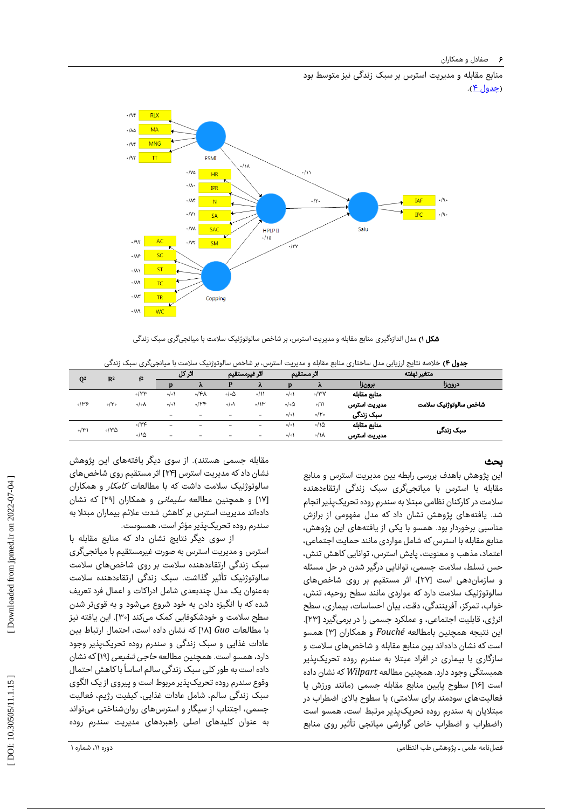منابع مقابله و مدیریت استرس بر سبک زندگی نیز متوسط بود (<u>جدول ۴</u>).



| <b>شکل ۱)</b> مدل اندازهگیری منابع مقابله و مدیریت استرس، بر شاخص سالوتوژنیک سلامت با میانجیگری سبک زندگی |  |                                                                                                                             |
|-----------------------------------------------------------------------------------------------------------|--|-----------------------------------------------------------------------------------------------------------------------------|
|                                                                                                           |  | <b>جدول ۴)</b> خلاصه نتایج ارزیابی مدل ساختاری منابع مقابله و مدیریت استرس، بر شاخص سالوتوژنیک سلامت با میانجیگری سبک زندگی |

|                  | <b>جدول ۴)</b> خلاصه نتایج ارزیابی مدل ساختاری منابع مقابله و مدیریت استرس، بر شاخص سالوتوژنیک سلامت با میانجیگری سبک زندگی |                 |                          |      |                          |                          |                            |                  |              |                       |
|------------------|-----------------------------------------------------------------------------------------------------------------------------|-----------------|--------------------------|------|--------------------------|--------------------------|----------------------------|------------------|--------------|-----------------------|
| $\mathbf{Q}^2$   | R <sup>2</sup>                                                                                                              | f <sup>2</sup>  | اثر کل                   |      |                          | اثر غيرمستقيم            |                            | اثر مستقيم       | متغير نهفته  |                       |
|                  |                                                                                                                             |                 |                          | λ    |                          | $\lambda$                |                            |                  | برونزا       | درونزا                |
| 5145             | $0/\gamma$                                                                                                                  | $\sqrt{\gamma}$ | $\circ/\circ$            | ۰/۴۸ | ۵ه /ه                    | $\frac{1}{2}$            | $\circ/\circ$              | $\partial/\mu V$ | منابع مقابله |                       |
|                  |                                                                                                                             | ۰/∘۸            | $\circ/\circ$            | 0/16 | 0/0                      | $\partial/\mathcal{W}$   | $\circ$ / $\circ$ $\Delta$ | $\circ/11$       | مديريت استرس | شاخص سالوتوژنیک سلامت |
|                  |                                                                                                                             |                 | $\overline{\phantom{a}}$ | -    | $\overline{\phantom{a}}$ | -                        | $\circ/\circ$              | $\circ$ /Yo      | سبک زندگی    |                       |
| $\circ/\Upsilon$ | ۱۳۵                                                                                                                         | $\sqrt{15}$     | $\overline{\phantom{a}}$ | -    | $\overline{\phantom{a}}$ | -                        | $\circ/\circ$              | $\frac{1}{2}$    | منابع مقابله | سبک زندگی             |
|                  |                                                                                                                             | $\cdot$ 10      | $\overline{\phantom{a}}$ | -    | $\overline{\phantom{a}}$ | $\overline{\phantom{m}}$ | $\circ/\circ$              | $\circ / N$      | مديريت استرس |                       |

#### بحث

این پژوهش باهدف بررسی رابطه بین مدیریت استرس و منابع مقابله با استرس با میانجیگری سبک زندگی ارتقاءدهنده سالمت در کارکنان نظامی مبتال به سندرم روده تحریکپذیر انجام شد. یافتههای پژوهش نشان داد که مدل مفهومی از برازش مناسبی برخوردار بود. همسو با یکی از یافتههای این پژوهش، منابع مقابله با استرس که شامل مواردی مانند حمایت اجتماعی، اعتماد، مذهب و معنویت، پایش استرس، توانایی کاهش تنش، حس تسلط، سالمت جسمی، توانایی درگیر شدن در حل مسئله و سازماندهی است ]27[، اثر مستقیم بر روی شاخصهای سالوتوژنیک سالمت دارد که مواردی مانند سطح روحیه، تنش، خواب، تمرکز، آفرینندگی، دقت، بیان احساسات، بیماری، سطح انرژی، قابلیت اجتماعی، و عملکرد جسمی را در برمیگیرد ]23[. این نتیجه همچنین بامطالعه *Fouché* و همکاران [۳] همسو است که نشان دادهاند بین منابع مقابله و شاخصهای سالمت و سازگاری با بیماری در افراد مبتال به سندرم روده تحریکپذیر همبستگی وجود دارد. همچنین مطالعه *Wilpart*که نشان داده است [۱۶] سطوح پایین منابع مقابله جسمی (مانند ورزش یا فعالیتهای سودمند برای سلامتی) با سطوح بالای اضطراب در مبتالیان به سندرم روده تحریکپذیر مرتبط است، همسو است )اضطراب و اضطراب خاص گوارشی میانجی تأثیر روی منابع

مقابله جسمی هستند). از سوی دیگر یافتههای این پژوهش نشان داد که مدیریت استرس ]24[ اثر مستقیم روی شاخصهای سالوتوژنیک سلامت داشت که با مطالعات *کامکار* و همکاران 17[ و همچنین مطالعه سلیمانی و همکاران ]29[ که نشان [ دادهاند مدیریت استرس بر کاهش شدت عالئم بیماران مبتال به سندرم روده تحریکپذیر مؤثر است، همسوست.

از سوی دیگر نتایج نشان داد که منابع مقابله با استرس و مدیریت استرس به صورت غیرمستقیم با میانجیگری سبک زندگی ارتقاءدهنده سالمت بر روی شاخصهای سالمت سالوتوژنیک تأثیر گذاشت. سبک زندگی ارتقاءدهنده سالمت بهعنوان یک مدل چندبعدی شامل ادراکات و اعمال فرد تعریف شده که با انگیزه دادن به خود شروع میشود و به قویتر شدن سطح سلامت و خودشکوفایی کمک میکند [۳۰]. این یافته نیز 18[ که نشان داده است، احتمال ارتباط بین با مطالعات *Guo*[ عادات غذایی و سبک زندگی و سندرم روده تحریکپذیر وجود دارد، همسو است. همچنین مطالعه *حاجی شفیعی* [۱۹] که نشان ۔<br>دادہ است به طور کلی سبک زندگی سالم اساساً با کاهش احتمال وقوع سندرم روده تحریکپذیر مربوط است و پیروی از یک الگوی سبک زندگی سالم، شامل عادات غذایی، کیفیت رژیم، فعالیت جسمی، اجتناب از سیگار و استرسهای روانشناختی میتواند به عنوان کلیدهای اصلی راهبردهای مدیریت سندرم روده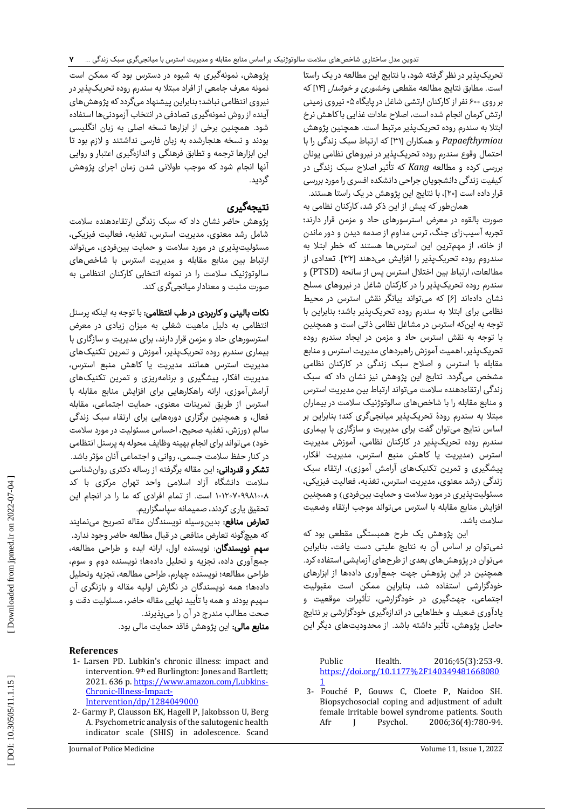تحریکپذیر در نظر گرفته شود، با نتایج این مطالعه در یک راستا است. مطابق نتایج مطالعه مقطعی وخشوری و خوشدل ]14[ که بر روی 600نفر از کارکنان ارتشی شاغل در پایگاه 05 نیروی زمینی ارتش کرمان انجام شده است، اصالح عادات غذایی با کاهش نرخ ابتال به سندرم روده تحریکپذیر مرتبط است. همچنین پژوهش *Papaefthymiou* و همکاران ]31[ که ارتباط سبک زندگی را با احتمال وقوع سندرم روده تحریکپذیر در نیروهای نظامی یونان بررسی کرده و مطالعه *Kang* که تأثیر اصالح سبک زندگی در کیفیت زندگی دانشجویان جراحی دانشکده افسری را مورد بررسی قرار داده است ]20[، با نتایج این پژوهش در یک راستا هستند.

همانطور که پیش از این ذکر شد، کارکنان نظامی به صورت بالقوه در معرض استرسورهای حاد و مزمن قرار دارند؛ تجربه آسیبزای جنگ، ترس مداوم از صدمه دیدن و دور ماندن از خانه، از مهمترین این استرسها هستند که خطر ابتال به سندروم روده تحریکپذیر را افزایش میدهند ]32[. تعدادی از مطالعات، ارتباط بین اختلال استرس پس از سانحه (PTSD) و سندرم روده تحریکپذیر را در کارکنان شاغل در نیروهای مسلح نشان دادهاند [۶] که میتواند بیانگر نقش استرس در محیط نظامی برای ابتال به سندرم روده تحریکپذیر باشد؛ بنابراین با توجه به اینکه استرس در مشاغل نظامی ذاتی است و همچنین با توجه به نقش استرس حاد و مزمن در ایجاد سندرم روده تحریکپذیر، اهمیت آموزش راهبردهای مدیریت استرس و منابع مقابله با استرس و اصالح سبک زندگی در کارکنان نظامی مشخص میگردد. نتایج این پژوهش نیز نشان داد که سبک زندگی ارتقاءدهنده سالمت میتواند ارتباط بین مدیریت استرس و منابع مقابله را با شاخصهای سالوتوژنیک سالمت در بیماران مبتال به سندرم رودهٔ تحریکپذیر میانجیگری کند؛ بنابراین بر اساس نتایج میتوان گفت برای مدیریت و سازگاری با بیماری سندرم روده تحریکپذیر در کارکنان نظامی، آموزش مدیریت استرس )مدیریت یا کاهش منبع استرس، مدیریت افکار، پیشگیری و تمرین تکنیکهای آرامش آموزی)، ارتقاء سبک زندگی )رشد معنوی، مدیریت استرس، تغذیه، فعالیت فیزیکی، مسئولیتپذیری در مورد سلامت و حمایت بینفردی) و همچنین افزایش منابع مقابله با استرس میتواند موجب ارتقاء وضعیت<br>سلامت باشد.

این پژوهش یک طرح همبستگی مقطعی بود که نمیتوان بر اساس آن به نتایج علیتی دست یافت، بنابراین میتوان در پژوهشهای بعدی از طرحهای آزمایشی استفاده کرد. همچنین در این پژوهش جهت جمعآوری دادهها از ابزارهای خودگزارشی استفاده شد، بنابراین ممکن است مقبولیت اجتماعی، جهتگیری در خودگزارشی، تأثیرات موقعیت و یادآوری ضعیف و خطاهایی در اندازهگیری خودگزارشی بر نتایج حاصل پژوهش، تأثیر داشته باشد. از محدودیتهای دیگر این

Public Health. 2016;45(3):253 -9. [https://doi.org/10.1177%2F140349481668080](https://doi.org/10.1177%2F1403494816680801) [1](https://doi.org/10.1177%2F1403494816680801)

3 - Fouché P, Gouws C, Cloete P, Naidoo SH. Biopsychosocial coping and adjustment of adult female irritable bowel syndrome patients. South Afr J Psychol. 2006;36(4):780-94.

پژوهش، نمونهگیری به شیوه در دسترس بود که ممکن است نمونه معرف جامعی از افراد مبتال به سندرم روده تحریکپذیر در نیروی انتظامی نباشد؛ بنابراین پیشنهاد میگردد که پژوهشهای آینده از روش نمونهگیری تصادفی در انتخاب آزمودنیها استفاده شود. همچنین برخی از ابزارها نسخه اصلی به زبان انگلیسی بودند و نسخه هنجارشده به زبان فارسی نداشتند و الزم بود تا این ابزارها ترجمه و تطابق فرهنگی و اندازهگیری اعتبار و روایی آنها انجام شود که موجب طوالنی شدن زمان اجرای پژوهش گردید.<br>**نتیجهگیری** 

پژوهش حاضر نشان داد که سبک زندگی ارتقاءدهنده سالمت شامل رشد معنوی، مدیریت استرس، تغذیه، فعالیت فیزیکی، مسئولیتپذیری در مورد سالمت و حمایت بینفردی، میتواند ارتباط بین منابع مقابله و مدیریت استرس با شاخصهای سالوتوژنیک سالمت را در نمونه انتخابی کارکنان انتظامی به صورت مثبت و معنادار میانجیگری کند.

نکات بالینی و کاربردی در طب انتظامی: با توجه به اینکه پرسنل انتظامی به دلیل ماهیت شغلی به میزان زیادی در معرض استرسورهای حاد و مزمن قرار دارند، برای مدیریت و سازگاری با بیماری سندرم روده تحریکپذیر، آموزش و تمرین تکنیکهای مدیریت استرس همانند مدیریت یا کاهش منبع استرس، مدیریت افکار، پیشگیری و برنامهریزی و تمرین تکنیکهای آرامشآموزی، ارائه راهکارهایی برای افزایش منابع مقابله با استرس از طریق تمرینات معنوی، حمایت اجتماعی، مقابله فعال، و همچنین برگزاری دورههایی برای ارتقاء سبک زندگی سالم )ورزش، تغذیه صحیح، احساس مسئولیت در مورد سالمت خود) میتواند برای انجام بهینه وظایف محوله به پرسنل انتظامی در کنار حفظ سالمت جسمی، روانی و اجتماعی آنان مؤثر باشد. <mark>تشکر و قدردانی:</mark> این مقاله برگرفته از رساله دکتری روانشناسی سالمت دانشگاه آزاد اسالمی واحد تهران مرکزی با کد ۰۵-۱۱۲۰۷۰۹۹۸۱ است. از تمام افرادی که ما را در انجام این<br>تحقیق یاری کردند، صمیمانه سیاسگزاریم.

**تعارض منافع:** بدینوسیله نویسندگان مقاله تصریح مینمایند<br>که هیچگونه تعارض منافعی در قبال مطالعه حاضر وجود ندارد. **سهم نویسندگان**: نویسنده اول، ارائه ایده و طراحی مطالعه، جمعآوری داده، تجزیه و تحلیل دادهها؛ نویسنده دوم و سوم، طراحی مطالعه؛ نویسنده چهارم، طراحی مطالعه، تجزیه وتحلیل دادهها؛ همه نویسندگان در نگارش اولیه مقاله و بازنگری آن سهیم بودند و همه با تأیید نهایی مقاله حاضر، مسئولیت دقت و<br>صحت مطالب مندرج در آن را مییذیرند.

م**نابع مالی:** این پژوهش فاقد حمایت مالی بود.

## **References**

- 1- Larsen PD. Lubkin's chronic illness: impact and intervention. 9th ed Burlington: Jones and Bartlett; 2021. 636 p[. https://www.amazon.com/Lubkins](https://www.amazon.com/Lubkins-Chronic-Illness-Impact-Intervention/dp/1284049000)-[Chronic](https://www.amazon.com/Lubkins-Chronic-Illness-Impact-Intervention/dp/1284049000)-Illness-Impact-[Intervention/dp/1284049000](https://www.amazon.com/Lubkins-Chronic-Illness-Impact-Intervention/dp/1284049000)
- 2 Garmy P, Clausson EK, Hagell P, Jakobsson U, Berg A. Psychometric analysis of the salutogenic health indicator scale (SHIS) in adolescence. Scand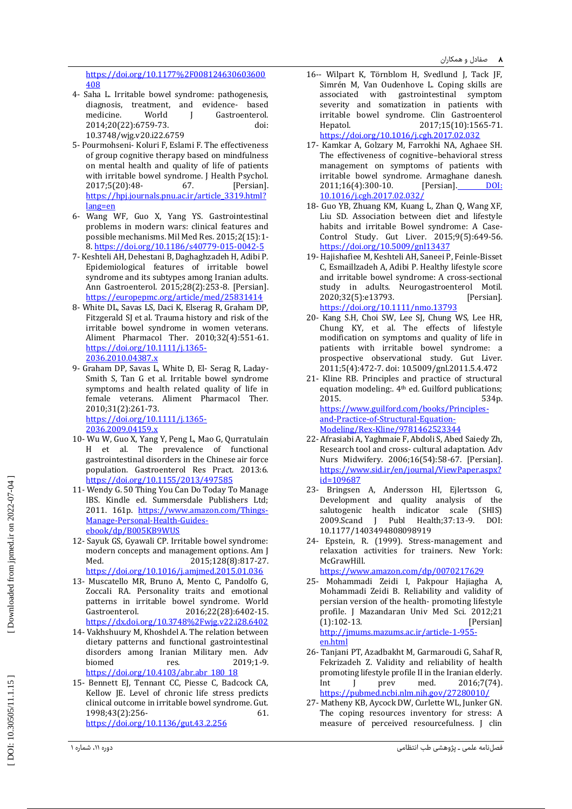[https://doi.org/10.1177%2F008124630603600](https://doi.org/10.1177%2F008124630603600408) [408](https://doi.org/10.1177%2F008124630603600408)

- 4 Saha L. Irritable bowel syndrome: pathogenesis, diagnosis, treatment, and evidence - based medicine. World J Gastroenterol. 2014;20(22):6759 -73. doi: 10.3748/wjg.v20.i22.6759
- 5 Pourmohseni Koluri F, Eslami F. The effectiveness of group cognitive therapy based on mindfulness on mental health and quality of life of patients with irritable bowel syndrome. J Health Psychol. 2017;5(20):48 - 67. [Persian]. [https://hpj.journals.pnu.ac.ir/article\\_3319.html?](https://hpj.journals.pnu.ac.ir/article_3319.html?lang=en) [lang=en](https://hpj.journals.pnu.ac.ir/article_3319.html?lang=en)
- 6 Wang WF, Guo X, Yang YS. Gastrointestinal problems in modern wars: clinical features and possible mechanisms. Mil Med Res. 2015;2(15):1 - 8. <u>https://doi.org/10.1186/s40779-015-0042-5</u>
- 7 Keshteli AH, Dehestani B, Daghaghzadeh H, Adibi P. Epidemiological features of irritable bowel syndrome and its subtypes among Iranian adults. Ann Gastroenterol. 2015;28(2):253 -8. [Persian]. <https://europepmc.org/article/med/25831414>
- 8 White DL, Savas LS, Daci K, Elserag R, Graham DP, Fitzgerald SJ et al. Trauma history and risk of the irritable bowel syndrome in women veterans. Aliment Pharmacol Ther. 2010;32(4):551 -61. [https://doi.org/10.1111/j.1365](https://doi.org/10.1111/j.1365-2036.2010.04387.x) - [2036.2010.04387.x](https://doi.org/10.1111/j.1365-2036.2010.04387.x)
- 9 Graham DP, Savas L, White D, El Serag R, Laday Smith S, Tan G et al. Irritable bowel syndrome symptoms and health related quality of life in female veterans. Aliment Pharmacol Ther. 2010;31(2):261 -73. [https://doi.org/10.1111/j.1365](https://doi.org/10.1111/j.1365-2036.2009.04159.x) - [2036.2009.04159.x](https://doi.org/10.1111/j.1365-2036.2009.04159.x)
- 10 Wu W, Guo X, Yang Y, Peng L, Mao G, Qurratulain H et al. The prevalence of functional gastrointestinal disorders in the Chinese air force population. Gastroenterol Res Pract. 2013:6. <https://doi.org/10.1155/2013/497585>
- 11 Wendy G. 50 Thing You Can Do Today To Manage IBS. Kindle ed. Summersdale Publishers Ltd; 2011. 161p. [https://www.amazon.com/Things](https://www.amazon.com/Things-Manage-Personal-Health-Guides-ebook/dp/B005KB9WUS)-Manage[-Personal](https://www.amazon.com/Things-Manage-Personal-Health-Guides-ebook/dp/B005KB9WUS)-Health-Guides[ebook/dp/B005KB9WUS](https://www.amazon.com/Things-Manage-Personal-Health-Guides-ebook/dp/B005KB9WUS)
- 12 Sayuk GS, Gyawali CP. Irritable bowel syndrome: modern concepts and management options. Am J Med. 2015;128(8):817-27. <https://doi.org/10.1016/j.amjmed.2015.01.036>
- 13 Muscatello MR, Bruno A, Mento C, Pandolfo G, Zoccali RA. Personality traits and emotional patterns in irritable bowel syndrome. World Gastroenterol. 2016;22(28):6402-15. <https://dx.doi.org/10.3748%2Fwjg.v22.i28.6402>
- 14 Vakhshuury M, Khoshdel A. The relation between dietary patterns and functional gastrointestinal disorders among Iranian Military men. Adv biomed res. 2019;1 -9. [https://doi.org/10.4103/abr.abr\\_180\\_1](https://doi.org/10.4103/abr.abr_180_18) 8
- 15 Bennett EJ, Tennant CC, Piesse C, Badcock CA, Kellow JE. Level of chronic life stress predicts clinical outcome in irritable bowel syndrome. Gut. 1998;43(2):256 - 61.
	- <https://doi.org/10.1136/gut.43.2.256>
- 16-- Wilpart K, Törnblom H, Svedlund J, Tack JF, Simrén M, Van Oudenhove L. Coping skills are associated with gastrointestinal symptom severity and somatization in patients with irritable bowel syndrome. Clin Gastroenterol Hepatol. 2017;15(10):156 5 -71. <https://doi.org/10.1016/j.cgh.2017.02.032>
- 17 Kamkar A, Golzary M, Farrokhi NA, Aghaee SH. The effectiveness of cognitive –behavioral stress management on symptoms of patients with irritable bowel syndrome. Armaghane danesh. 2011;16(4):300 [Persian]. DOI: 10.1016/j.cgh.2017.02.032/
- 18 Guo YB, Zhuang KM, Kuang L, Zhan Q, Wang XF, Liu SD. Association between diet and lifestyle habits and irritable Bowel syndrome: A Case - Control Study. Gut Liver. 2015;9(5):649 -56. <https://doi.org/10.5009/gnl13437>
- 19 Hajishafiee M, Keshteli AH, Saneei P, Feinle‐Bisset C, Esmaillzadeh A, Adibi P. Healthy lifestyle score and irritable bowel syndrome: A cross‐sectional study in adults. Neurogastroenterol Motil. 2020;32(5):e13793. [Persian]. <https://doi.org/10.1111/nmo.13793>
- 20 Kang S.H, Choi SW, Lee SJ, Chung WS, Lee HR, Chung KY, et al. The effects of lifestyle modification on symptoms and quality of life in patients with irritable bowel syndrome: a prospective observational study. Gut Liver. 2011;5(4):472 -7. doi: 10.5009/gnl.2011.5.4.472
- 21 Kline RB. Principles and practice of structural equation modeling:. 4th ed. Guilford publications; 2015. 534p. [https://www.guilford.com/books/Principles](https://www.guilford.com/books/Principles-and-Practice-of-Structural-Equation-Modeling/Rex-Kline/9781462523344) - and-Practice[-of-Structural](https://www.guilford.com/books/Principles-and-Practice-of-Structural-Equation-Modeling/Rex-Kline/9781462523344)-Equation-Modeling/Rex [-Kline/9781462523344](https://www.guilford.com/books/Principles-and-Practice-of-Structural-Equation-Modeling/Rex-Kline/9781462523344)
- 22 Afrasiabi A, Yaghmaie F, Abdoli S, Abed Saiedy Zh, Research tool and cross - cultural adaptation. Adv Nurs Midwifery. 2006;16(54):58 -67. [Persian]. [https://www.sid.ir/en/journal/ViewPaper.aspx?](https://www.sid.ir/en/journal/ViewPaper.aspx?id=109687) [id=109687](https://www.sid.ir/en/journal/ViewPaper.aspx?id=109687)
- 23 Bringsen A, Andersson HI, Ejlertsson G, Development and quality analysis of the salutogenic health indicator scale (SHIS) 2009.Scand J Publ Health;37:13 DOI: 10.1177/1403494808098919
- 24 Epstein, R. (1999). Stress -management and relaxation activities for trainers. New York: McGrawHill. <https://www.amazon.com/dp/0070217629>
- 25 Mohammadi Zeidi I, Pakpour Hajiagha A, Mohammadi Zeidi B. Reliability and validity of persian version of the health - promoting lifestyle profile. J Mazandaran Univ Med Sci. 2012;21  $(1):102-13.$ [Persian] [http://jmums.mazums.ac.ir/article](http://jmums.mazums.ac.ir/article-1-955-en.html)-1-955[en.html](http://jmums.mazums.ac.ir/article-1-955-en.html)
- 26 Tanjani PT, Azadbakht M, Garmaroudi G, Sahaf R, Fekrizadeh Z. Validity and reliability of health promoting lifestyle profile II in the Iranian elderly. Int J prev med. 2016;7(74). <https://pubmed.ncbi.nlm.nih.gov/27280010/>
- 27 Matheny KB, Aycock DW, Curlette WL, Junker GN. The coping resources inventory for stress: A measure of perceived resourcefulness. J clin